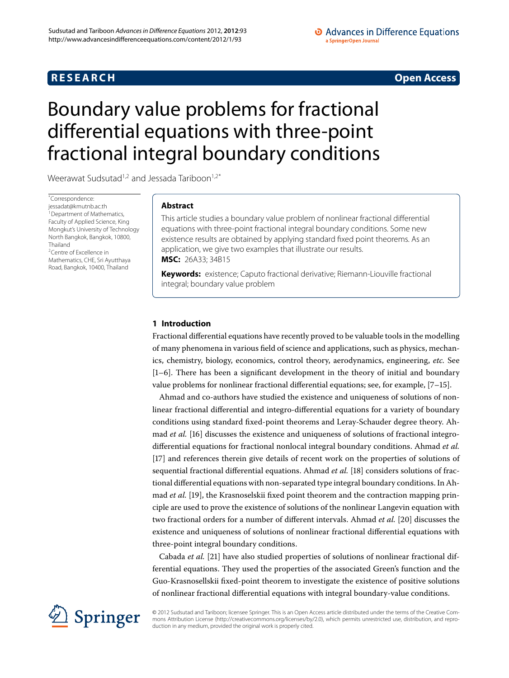# **RESEARCH CONSTRUCTER ACCESS**

# <span id="page-0-2"></span><span id="page-0-0"></span>Boundary value problems for fractional differential equations with three-point fractional integral boundary conditions

<span id="page-0-1"></span>Weerawat Sudsutad<sup>1,[2](#page-0-1)</sup> and Jessada Tariboon<sup>1,2[\\*](#page-0-2)</sup>

\* Correspondence: [jessadat@kmutnb.ac.th](mailto:jessadat@kmutnb.ac.th) <sup>1</sup> Department of Mathematics, Faculty of Applied Science, King Mongkut's University of Technology North Bangkok, Bangkok, 10800, Thailand <sup>2</sup> Centre of Excellence in

Mathematics, CHE, Sri Ayutthaya Road, Bangkok, 10400, Thailand

# **Abstract**

This article studies a boundary value problem of nonlinear fractional differential equations with three-point fractional integral boundary conditions. Some new existence results are obtained by applying standard fixed point theorems. As an application, we give two examples that illustrate our results. **MSC:** 26A33; 34B15

**Keywords:** existence; Caputo fractional derivative; Riemann-Liouville fractional integral; boundary value problem

# **1 Introduction**

Fractional differential equations have recently proved to be valuable tools in the modelling of many phenomena in various field of science and applications, such as physics, mechanics, chemistry, biology, economics, control theory, aerodynamics, engineering, *etc.* See  $[1-6]$  $[1-6]$ . There has been a significant development in the theory of initial and boundary value problems for nonlinear fractional differential equations; see, for example,  $[7-15]$  $[7-15]$ .

Ahmad and co-authors have studied the existence and uniqueness of solutions of nonlinear fractional differential and integro-differential equations for a variety of boundary conditions using standard fixed-point theorems and Leray-Schauder degree theory. Ahmad *et al.* [16] discusses the existence and uniqueness of solutions of fractional integrodifferential equations for fractional nonlocal integral boundary conditions. Ahmad *et al.* [17] and references therein give details of recent work on the properties of solutions of sequential fractional differential equations. Ahmad *et al.* [\[](#page-9-3)18] considers solutions of fractional differential equations with non-separated type integral boundary conditions. In Ahmad *et al.* [\[](#page-9-4)19], the Krasnoselskii fixed point theorem and the contraction mapping principle are used to prove the existence of solutions of the nonlinear Langevin equation with two fractional orders for a number of different intervals. Ahmad *et al.* [20] discusses the existence and uniqueness of solutions of nonlinear fractional differential equations with three-point integral boundary conditions.

Cabada *et al.* [21[\]](#page-9-6) have also studied properties of solutions of nonlinear fractional differential equations. They used the properties of the associated Green's function and the Guo-Krasnosellskii fixed-point theorem to investigate the existence of positive solutions of nonlinear fractional differential equations with integral boundary-value conditions.



© 2012 Sudsutad and Tariboon; licensee Springer. This is an Open Access article distributed under the terms of the Creative Commons Attribution License (<http://creativecommons.org/licenses/by/2.0>), which permits unrestricted use, distribution, and reproduction in any medium, provided the original work is properly cited.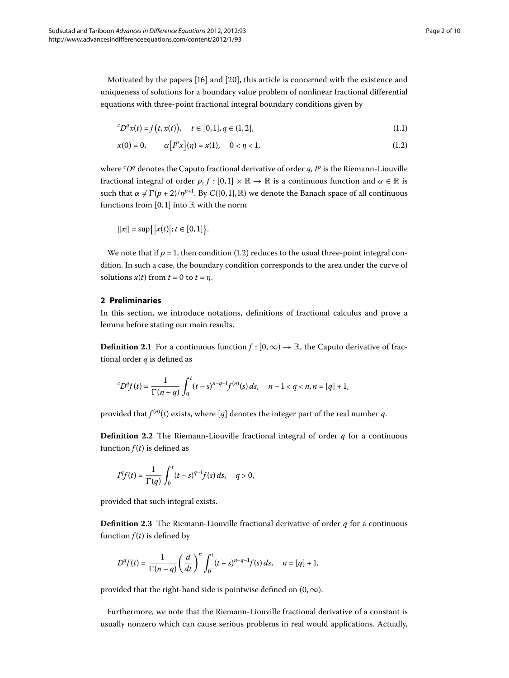<span id="page-1-1"></span><span id="page-1-0"></span>Motivated by the papers  $[16]$  and  $[20]$ , this article is concerned with the existence and uniqueness of solutions for a boundary value problem of nonlinear fractional differential equations with three-point fractional integral boundary conditions given by

$$
{}^{c}D^{q}x(t) = f(t, x(t)), \quad t \in [0, 1], q \in (1, 2], \tag{1.1}
$$

$$
x(0) = 0, \qquad \alpha \left[ I^p x \right](\eta) = x(1), \quad 0 < \eta < 1,\tag{1.2}
$$

where *<sup>c</sup> D<sup>q</sup>* denotes the Caputo fractional derivative of order *q*, *I<sup>p</sup>* is the Riemann-Liouville fractional integral of order  $p, f : [0,1] \times \mathbb{R} \to \mathbb{R}$  is a continuous function and  $\alpha \in \mathbb{R}$  is such that  $\alpha \neq \Gamma(p+2)/\eta^{p+1}$ . By  $C([0,1],\mathbb{R})$  we denote the Banach space of all continuous functions from [0,1] into  $\mathbb R$  with the norm

$$
||x|| = \sup\{|x(t)|; t \in [0,1]\}.
$$

We note that if  $p = 1$ , then condition (1[.](#page-1-0)2) reduces to the usual three-point integral condition. In such a case, the boundary condition corresponds to the area under the curve of solutions  $x(t)$  from  $t = 0$  to  $t = \eta$ .

#### **2 Preliminaries**

In this section, we introduce notations, definitions of fractional calculus and prove a lemma before stating our main results.

**Definition 2.1** For a continuous function  $f : [0, \infty) \to \mathbb{R}$ , the Caputo derivative of fractional order *q* is defined as

$$
{}^cD^q f(t) = \frac{1}{\Gamma(n-q)} \int_0^t (t-s)^{n-q-1} f^{(n)}(s) \, ds, \quad n-1 < q < n, n = [q] + 1,
$$

provided that  $f^{(n)}(t)$  exists, where  $[q]$  denotes the integer part of the real number  $q$ .

**Definition 2.2** The Riemann-Liouville fractional integral of order  $q$  for a continuous function  $f(t)$  is defined as

$$
I^{q}f(t) = \frac{1}{\Gamma(q)} \int_{0}^{t} (t-s)^{q-1} f(s) ds, \quad q > 0,
$$

provided that such integral exists.

**Definition 2.3** The Riemann-Liouville fractional derivative of order  $q$  for a continuous function  $f(t)$  is defined by

$$
D^q f(t)=\frac{1}{\Gamma(n-q)}\Bigg(\frac{d}{dt}\Bigg)^n\int_0^t(t-s)^{n-q-1}f(s)\,ds,\quad n=[q]+1,
$$

provided that the right-hand side is pointwise defined on  $(0, \infty)$ .

Furthermore, we note that the Riemann-Liouville fractional derivative of a constant is usually nonzero which can cause serious problems in real would applications. Actually,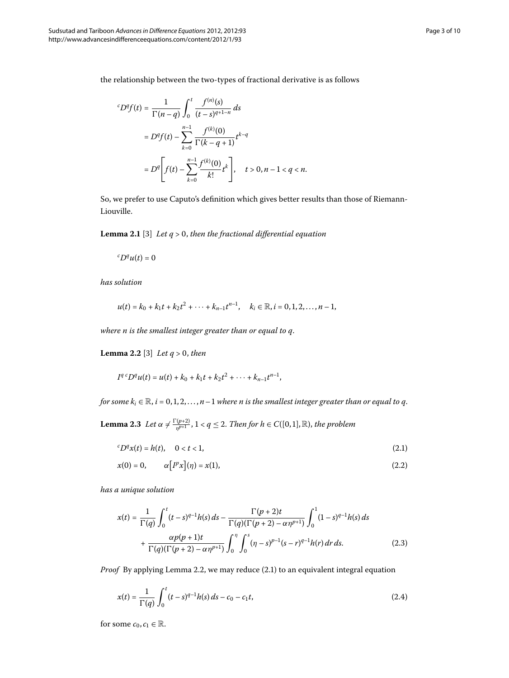the relationship between the two-types of fractional derivative is as follows

$$
{}^{c}D^{q}f(t) = \frac{1}{\Gamma(n-q)} \int_{0}^{t} \frac{f^{(n)}(s)}{(t-s)^{q+1-n}} ds
$$
  

$$
= D^{q}f(t) - \sum_{k=0}^{n-1} \frac{f^{(k)}(0)}{\Gamma(k-q+1)} t^{k-q}
$$
  

$$
= D^{q} \left[ f(t) - \sum_{k=0}^{n-1} \frac{f^{(k)}(0)}{k!} t^{k} \right], \quad t > 0, n-1 < q < n.
$$

So, we prefer to use Caputo's definition which gives better results than those of Riemann-Liouville.

**Lemma 2.1** [\[](#page-8-3)3] *Let*  $q > 0$ *, then the fractional differential equation* 

$$
^cD^qu(t)=0
$$

<span id="page-2-0"></span>*has solution*

$$
u(t) = k_0 + k_1t + k_2t^2 + \cdots + k_{n-1}t^{n-1}, \quad k_i \in \mathbb{R}, i = 0, 1, 2, \ldots, n-1,
$$

*where n is the smallest integer greater than or equal to q*.

<span id="page-2-5"></span><span id="page-2-1"></span>**Lemma 2.2** [3[\]](#page-8-3) *Let q* > 0*, then* 

$$
I^{q}{}^{c}D^{q}u(t) = u(t) + k_0 + k_1t + k_2t^2 + \cdots + k_{n-1}t^{n-1},
$$

<span id="page-2-3"></span>*for some*  $k_i \in \mathbb{R}$ *,*  $i = 0, 1, 2, ..., n-1$  *where n is the smallest integer greater than or equal to q.* 

<span id="page-2-4"></span>**Lemma 2.3** Let  $\alpha \neq \frac{\Gamma(p+2)}{p^{p+1}}$ ,  $1 < q \leq 2$ . Then for  $h \in C([0,1],{\mathbb R})$ , the problem

$$
{}^{c}D^{q}x(t) = h(t), \quad 0 < t < 1,\tag{2.1}
$$

$$
x(0) = 0, \qquad \alpha \left[I^p x\right](\eta) = x(1), \tag{2.2}
$$

*has a unique solution*

<span id="page-2-2"></span>
$$
x(t) = \frac{1}{\Gamma(q)} \int_0^t (t-s)^{q-1} h(s) ds - \frac{\Gamma(p+2)t}{\Gamma(q)(\Gamma(p+2) - \alpha \eta^{p+1})} \int_0^1 (1-s)^{q-1} h(s) ds
$$
  
+ 
$$
\frac{\alpha p(p+1)t}{\Gamma(q)(\Gamma(p+2) - \alpha \eta^{p+1})} \int_0^{\eta} \int_0^s (\eta - s)^{p-1} (s-r)^{q-1} h(r) dr ds.
$$
 (2.3)

*Proof* By applying Lemma 2.2, we may reduce (2.1) to an equivalent integral equation

$$
x(t) = \frac{1}{\Gamma(q)} \int_0^t (t - s)^{q-1} h(s) \, ds - c_0 - c_1 t,\tag{2.4}
$$

for some  $c_0, c_1 \in \mathbb{R}$ .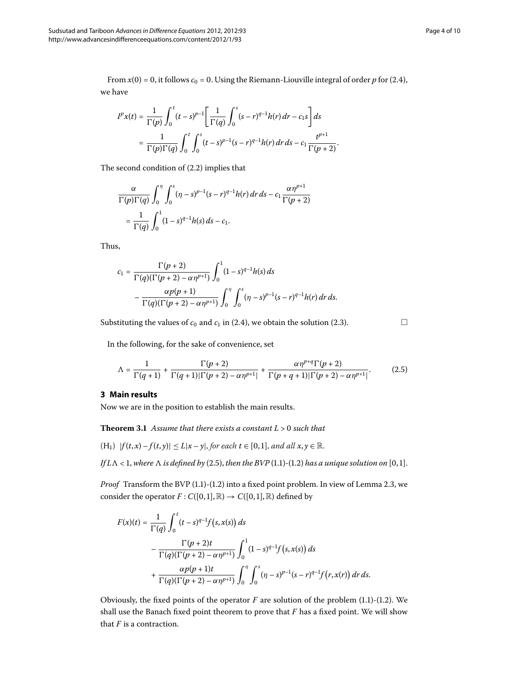From  $x(0) = 0$ , it follows  $c_0 = 0$ . Using the Riemann-Liouville integral of order p for (2.4), we have

$$
I^{p}x(t) = \frac{1}{\Gamma(p)} \int_{0}^{t} (t-s)^{p-1} \left[ \frac{1}{\Gamma(q)} \int_{0}^{s} (s-r)^{q-1} h(r) dr - c_{1} s \right] ds
$$
  
= 
$$
\frac{1}{\Gamma(p)\Gamma(q)} \int_{0}^{t} \int_{0}^{s} (t-s)^{p-1} (s-r)^{q-1} h(r) dr ds - c_{1} \frac{t^{p+1}}{\Gamma(p+2)}.
$$

The second condition of  $(2.2)$  $(2.2)$  $(2.2)$  implies that

$$
\frac{\alpha}{\Gamma(p)\Gamma(q)} \int_0^{\eta} \int_0^s (\eta - s)^{p-1} (s - r)^{q-1} h(r) \, dr \, ds - c_1 \frac{\alpha \eta^{p+1}}{\Gamma(p+2)}
$$
\n
$$
= \frac{1}{\Gamma(q)} \int_0^1 (1 - s)^{q-1} h(s) \, ds - c_1.
$$

Thus,

$$
c_1 = \frac{\Gamma(p+2)}{\Gamma(q)(\Gamma(p+2) - \alpha \eta^{p+1})} \int_0^1 (1-s)^{q-1} h(s) ds
$$
  
 
$$
- \frac{\alpha p(p+1)}{\Gamma(q)(\Gamma(p+2) - \alpha \eta^{p+1})} \int_0^{\eta} \int_0^s (\eta - s)^{p-1} (s-r)^{q-1} h(r) dr ds.
$$

Substituting the values of  $c_0$  and  $c_1$  in (2.4), we obtain the solution (2.3).

<span id="page-3-0"></span> $\Box$ 

<span id="page-3-1"></span>In the following, for the sake of convenience, set

$$
\Lambda = \frac{1}{\Gamma(q+1)} + \frac{\Gamma(p+2)}{\Gamma(q+1)|\Gamma(p+2) - \alpha\eta^{p+1}|} + \frac{\alpha\eta^{p+q}\Gamma(p+2)}{\Gamma(p+q+1)|\Gamma(p+2) - \alpha\eta^{p+1}|}. \tag{2.5}
$$

### **3 Main results**

Now we are in the position to establish the main results.

**Theorem 3.1** Assume that there exists a constant  $L > 0$  such that

 $(H_1)$   $|f(t,x) - f(t,y)| \leq L|x-y|$ , for each  $t \in [0,1]$ , and all  $x, y \in \mathbb{R}$ .

*If*  $L\Lambda$  < 1, where  $\Lambda$  is defined by (2[.](#page-1-0)5), then the BVP (1.1)-(1.2) has a unique solution on [0,1].

*Proof* Transform the BVP (1[.](#page-1-1)1)-(1.2) into a fixed point problem. In view of Lemma 2.3, we consider the operator  $F: C([0,1], \mathbb{R}) \to C([0,1], \mathbb{R})$  defined by

$$
F(x)(t) = \frac{1}{\Gamma(q)} \int_0^t (t-s)^{q-1} f(s, x(s)) ds
$$
  
- 
$$
\frac{\Gamma(p+2)t}{\Gamma(q)(\Gamma(p+2) - \alpha \eta^{p+1})} \int_0^1 (1-s)^{q-1} f(s, x(s)) ds
$$
  
+ 
$$
\frac{\alpha p(p+1)t}{\Gamma(q)(\Gamma(p+2) - \alpha \eta^{p+1})} \int_0^{\eta} \int_0^s (\eta - s)^{p-1} (s-r)^{q-1} f(r, x(r)) dr ds.
$$

Obviously, the fixed points of the operator  $F$  are solution of the problem  $(1.1)-(1.2)$  $(1.1)-(1.2)$  $(1.1)-(1.2)$ . We shall use the Banach fixed point theorem to prove that *F* has a fixed point. We will show that *F* is a contraction.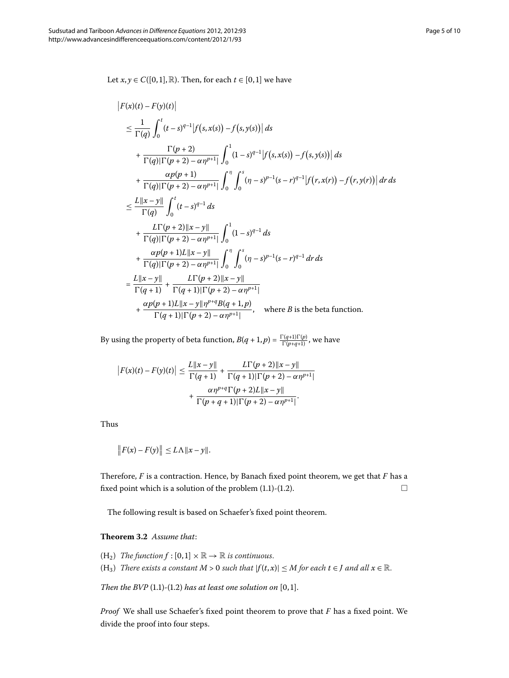Let  $x, y \in C([0, 1], \mathbb{R})$ . Then, for each  $t \in [0, 1]$  we have

$$
\begin{split}\n&\left|F(x)(t)-F(y)(t)\right| \\
&\leq \frac{1}{\Gamma(q)} \int_{0}^{t} (t-s)^{q-1} \left|f(s,x(s))-f(s,y(s))\right| ds \\
&+ \frac{\Gamma(p+2)}{\Gamma(q)|\Gamma(p+2)-\alpha\eta^{p+1}|} \int_{0}^{1} (1-s)^{q-1} \left|f(s,x(s))-f(s,y(s))\right| ds \\
&+ \frac{\alpha p(p+1)}{\Gamma(q)|\Gamma(p+2)-\alpha\eta^{p+1}|} \int_{0}^{\eta} \int_{0}^{s} (\eta-s)^{p-1}(s-r)^{q-1} \left|f(r,x(r))-f(r,y(r))\right| dr ds \\
&\leq \frac{L||x-y||}{\Gamma(q)} \int_{0}^{t} (t-s)^{q-1} ds \\
&+ \frac{L\Gamma(p+2)||x-y||}{\Gamma(q)|\Gamma(p+2)-\alpha\eta^{p+1}|} \int_{0}^{1} (1-s)^{q-1} ds \\
&+ \frac{\alpha p(p+1)L||x-y||}{\Gamma(q)|\Gamma(p+2)-\alpha\eta^{p+1}|} \int_{0}^{s} (\eta-s)^{p-1}(s-r)^{q-1} dr ds \\
&= \frac{L||x-y||}{\Gamma(q+1)} + \frac{L\Gamma(p+2)||x-y||}{\Gamma(q+1)|\Gamma(p+2)-\alpha\eta^{p+1}|} \\
&+ \frac{\alpha p(p+1)L||x-y||\eta^{p+q}B(q+1,p)}{\Gamma(q+1)|\Gamma(p+2)-\alpha\eta^{p+1}|}, \quad \text{where } B \text{ is the beta function.}\n\end{split}
$$

By using the property of beta function,  $B(q + 1, p) = \frac{\Gamma(q+1)\Gamma(p)}{\Gamma(p+q+1)}$ , we have

$$
\begin{aligned} \left| F(x)(t) - F(y)(t) \right| &\le \frac{L \|x - y\|}{\Gamma(q+1)} + \frac{L \Gamma(p+2) \|x - y\|}{\Gamma(q+1) \Gamma(p+2) - \alpha \eta^{p+1}} \\ &+ \frac{\alpha \eta^{p+q} \Gamma(p+2) L \|x - y\|}{\Gamma(p+q+1) \Gamma(p+2) - \alpha \eta^{p+1}}. \end{aligned}
$$

Thus

$$
||F(x) - F(y)|| \leq L\Lambda ||x - y||.
$$

<span id="page-4-0"></span>Therefore, *F* is a contraction. Hence, by Banach fixed point theorem, we get that *F* has a fixed point which is a solution of the problem  $(1.1)-(1.2)$  $(1.1)-(1.2)$  $(1.1)-(1.2)$ .

The following result is based on Schaefer's fixed point theorem.

#### **Theorem 3.2** Assume that:

- $(H_2)$  *The function*  $f : [0,1] \times \mathbb{R} \rightarrow \mathbb{R}$  *is continuous.*
- (H<sub>3</sub>) *There exists a constant*  $M > 0$  *such that*  $|f(t, x)| \leq M$  *for each*  $t \in J$  *and all*  $x \in \mathbb{R}$ .

*Then the BVP*  $(1.1)$  $(1.1)$  $(1.1)$ - $(1.2)$  *has at least one solution on*  $[0,1]$ *.* 

*Proof* We shall use Schaefer's fixed point theorem to prove that *F* has a fixed point. We divide the proof into four steps.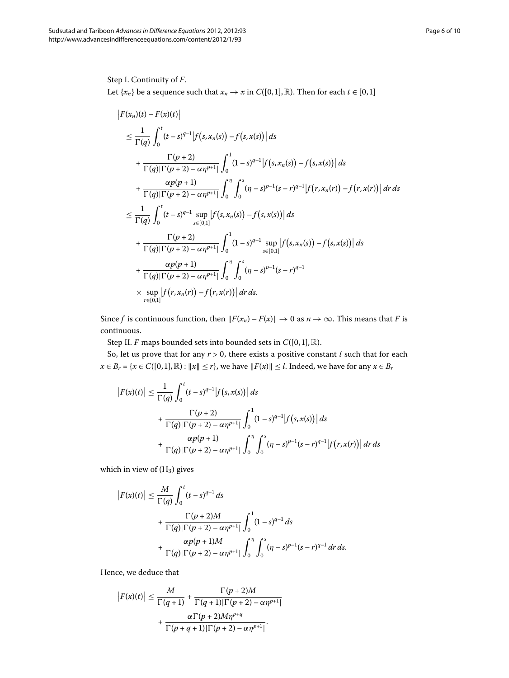## Step I. Continuity of *F*.

Let  $\{x_n\}$  be a sequence such that  $x_n \to x$  in  $C([0, 1], \mathbb{R})$ . Then for each  $t \in [0, 1]$ 

$$
\begin{split}\n&\left|F(x_n)(t) - F(x)(t)\right| \\
&\leq \frac{1}{\Gamma(q)} \int_0^t (t-s)^{q-1} \left|f(s, x_n(s)) - f(s, x(s))\right| ds \\
&+ \frac{\Gamma(p+2)}{\Gamma(q)|\Gamma(p+2) - \alpha \eta^{p+1}|} \int_0^1 (1-s)^{q-1} \left|f(s, x_n(s)) - f(s, x(s))\right| ds \\
&+ \frac{\alpha p(p+1)}{\Gamma(q)|\Gamma(p+2) - \alpha \eta^{p+1}|} \int_0^{\eta} \int_0^s (\eta - s)^{p-1}(s-r)^{q-1} \left|f(r, x_n(r)) - f(r, x(r))\right| dr ds \\
&\leq \frac{1}{\Gamma(q)} \int_0^t (t-s)^{q-1} \sup_{s \in [0,1]} \left|f(s, x_n(s)) - f(s, x(s))\right| ds \\
&+ \frac{\Gamma(p+2)}{\Gamma(q)|\Gamma(p+2) - \alpha \eta^{p+1}|} \int_0^1 (1-s)^{q-1} \sup_{s \in [0,1]} \left|f(s, x_n(s)) - f(s, x(s))\right| ds \\
&+ \frac{\alpha p(p+1)}{\Gamma(q)|\Gamma(p+2) - \alpha \eta^{p+1}|} \int_0^{\eta} \int_0^s (\eta - s)^{p-1}(s-r)^{q-1} dx \\
&\times \sup_{r \in [0,1]} \left|f(r, x_n(r)) - f(r, x(r))\right| dr ds.\n\end{split}
$$

Since *f* is continuous function, then  $||F(x_n) - F(x)|| \to 0$  as  $n \to \infty$ . This means that *F* is continuous.

Step II. *F* maps bounded sets into bounded sets in  $C([0, 1], \mathbb{R})$ .

So, let us prove that for any  $r > 0$ , there exists a positive constant  $l$  such that for each *x* ∈ *B<sub>r</sub>* = {*x* ∈ *C*([0,1],R) :  $||x|| ≤ r$ }, we have  $||F(x)|| ≤ l$ . Indeed, we have for any *x* ∈ *B<sub>r</sub>* 

$$
|F(x)(t)| \le \frac{1}{\Gamma(q)} \int_0^t (t-s)^{q-1} |f(s, x(s))| ds
$$
  
+ 
$$
\frac{\Gamma(p+2)}{\Gamma(q)|\Gamma(p+2) - \alpha \eta^{p+1}|} \int_0^1 (1-s)^{q-1} |f(s, x(s))| ds
$$
  
+ 
$$
\frac{\alpha p(p+1)}{\Gamma(q)|\Gamma(p+2) - \alpha \eta^{p+1}|} \int_0^{\eta} \int_0^s (\eta - s)^{p-1} (s-r)^{q-1} |f(r, x(r))| dr ds
$$

which in view of  $(H<sub>3</sub>)$  gives

$$
|F(x)(t)| \le \frac{M}{\Gamma(q)} \int_0^t (t-s)^{q-1} ds + \frac{\Gamma(p+2)M}{\Gamma(q)|\Gamma(p+2) - \alpha \eta^{p+1}|} \int_0^1 (1-s)^{q-1} ds + \frac{\alpha p(p+1)M}{\Gamma(q)|\Gamma(p+2) - \alpha \eta^{p+1}|} \int_0^{\eta} \int_0^s (\eta - s)^{p-1} (s-r)^{q-1} dr ds.
$$

Hence, we deduce that

$$
|F(x)(t)| \leq \frac{M}{\Gamma(q+1)} + \frac{\Gamma(p+2)M}{\Gamma(q+1)|\Gamma(p+2) - \alpha\eta^{p+1}|} + \frac{\alpha\Gamma(p+2)M\eta^{p+q}}{\Gamma(p+q+1)|\Gamma(p+2) - \alpha\eta^{p+1}|}.
$$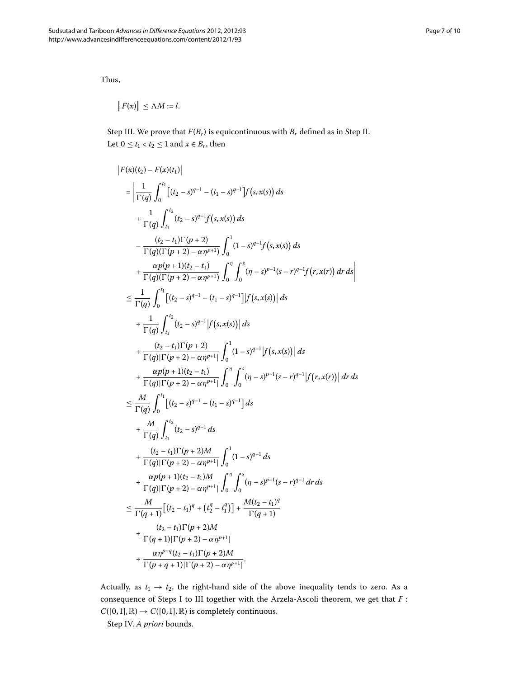Thus,

$$
\|F(x)\| \leq \Lambda M := l.
$$

Step III. We prove that  $F(B_r)$  is equicontinuous with  $B_r$  defined as in Step II. Let  $0 \le t_1 < t_2 \le 1$  and  $x \in B_r$ , then

$$
|F(x)(t_2) - F(x)(t_1)|
$$
\n
$$
= \left| \frac{1}{\Gamma(q)} \int_0^{t_1} [(t_2 - s)^{q-1} - (t_1 - s)^{q-1}] f(s, x(s)) ds \right|
$$
\n
$$
+ \frac{1}{\Gamma(q)} \int_{t_1}^{t_2} (t_2 - s)^{q-1} f(s, x(s)) ds
$$
\n
$$
- \frac{(t_2 - t_1)\Gamma(p+2)}{\Gamma(q)(\Gamma(p+2) - \alpha \eta^{p+1})} \int_0^1 (1 - s)^{q-1} f(s, x(s)) ds
$$
\n
$$
+ \frac{\alpha p(p+1)(t_2 - t_1)}{\Gamma(q)(\Gamma(p+2) - \alpha \eta^{p+1})} \int_0^{\eta} \int_0^s (\eta - s)^{p-1}(s - r)^{q-1} f(r, x(r)) dr ds \right|
$$
\n
$$
\leq \frac{1}{\Gamma(q)} \int_0^{t_1} [(t_2 - s)^{q-1} - (t_1 - s)^{q-1}] |f(s, x(s))| ds
$$
\n
$$
+ \frac{1}{\Gamma(q)} \int_{t_1}^{t_2} (t_2 - s)^{q-1} |f(s, x(s))| ds
$$
\n
$$
+ \frac{(t_2 - t_1)\Gamma(p+2)}{\Gamma(q)\Gamma(p+2) - \alpha \eta^{p+1}} \int_0^1 (1 - s)^{q-1} |f(s, x(s))| ds
$$
\n
$$
+ \frac{\alpha p(p+1)(t_2 - t_1)}{\Gamma(q)\Gamma(p+2) - \alpha \eta^{p+1}} \int_0^{\eta} \int_0^s (\eta - s)^{p-1}(s - r)^{q-1} |f(r, x(r))| dr ds
$$
\n
$$
\leq \frac{M}{\Gamma(q)} \int_0^{t_1} [(t_2 - s)^{q-1} - (t_1 - s)^{q-1}] ds
$$
\n
$$
+ \frac{\alpha p(p+1)(t_2 - t_1)M}{\Gamma(q)\Gamma(p+2) - \alpha \eta^{p+1}} \int_0^{\eta} (1 - s)^{q-1} ds
$$
\n
$$
+ \frac{\alpha p(p+1)(t_2 - t_1)M}{\Gamma(q)\Gamma(p+2) - \alpha \eta^{p+1}} \int_0^{\eta} (s
$$

Actually, as  $t_1 \rightarrow t_2$ , the right-hand side of the above inequality tends to zero. As a consequence of Steps I to III together with the Arzela-Ascoli theorem, we get that *F* :  $C([0, 1], \mathbb{R}) \rightarrow C([0, 1], \mathbb{R})$  is completely continuous.

Step IV. *A priori* bounds.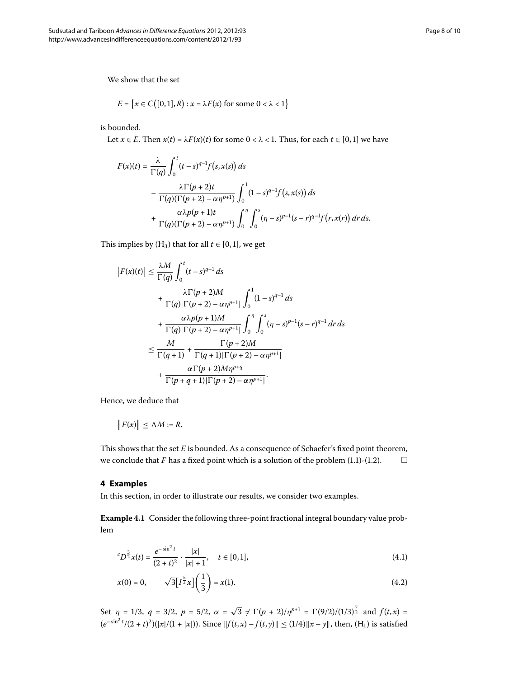We show that the set

$$
E = \left\{ x \in C\big( [0,1], R \big) : x = \lambda F(x) \text{ for some } 0 < \lambda < 1 \right\}
$$

is bounded.

Let *x*  $\in$  *E*. Then *x*(*t*) =  $\lambda$ *F*(*x*)(*t*) for some 0 <  $\lambda$  < 1. Thus, for each *t*  $\in$  [0,1] we have

$$
F(x)(t) = \frac{\lambda}{\Gamma(q)} \int_0^t (t-s)^{q-1} f(s, x(s)) ds
$$
  

$$
- \frac{\lambda \Gamma(p+2)t}{\Gamma(q)(\Gamma(p+2) - \alpha \eta^{p+1})} \int_0^1 (1-s)^{q-1} f(s, x(s)) ds
$$
  

$$
+ \frac{\alpha \lambda p(p+1)t}{\Gamma(q)(\Gamma(p+2) - \alpha \eta^{p+1})} \int_0^{\eta} \int_0^s (\eta - s)^{p-1} (s-r)^{q-1} f(r, x(r)) dr ds.
$$

This implies by  $(H_3)$  that for all  $t \in [0, 1]$ , we get

$$
\begin{split} \left|F(x)(t)\right| &\leq \frac{\lambda M}{\Gamma(q)}\int_0^t (t-s)^{q-1} \, ds \\ &+ \frac{\lambda \Gamma(p+2)M}{\Gamma(q)\left|\Gamma(p+2) - \alpha \eta^{p+1}\right|} \int_0^1 (1-s)^{q-1} \, ds \\ &+ \frac{\alpha \lambda p(p+1)M}{\Gamma(q)\left|\Gamma(p+2) - \alpha \eta^{p+1}\right|} \int_0^\eta \int_0^s (\eta - s)^{p-1} (s-r)^{q-1} \, dr \, ds \\ &\leq \frac{M}{\Gamma(q+1)} + \frac{\Gamma(p+2)M}{\Gamma(q+1)\left|\Gamma(p+2) - \alpha \eta^{p+1}\right|} \\ &+ \frac{\alpha \Gamma(p+2)M \eta^{p+q}}{\Gamma(p+q+1)\left|\Gamma(p+2) - \alpha \eta^{p+1}\right|}. \end{split}
$$

Hence, we deduce that

$$
\|F(x)\| \leq \Lambda M := R.
$$

This shows that the set *E* is bounded. As a consequence of Schaefer's fixed point theorem, we conclude that  $F$  has a fixed point which is a solution of the problem  $(1.1)$  $(1.1)$  $(1.1)$ - $(1.2)$ .  $\Box$ 

#### <span id="page-7-0"></span>**4 Examples**

<span id="page-7-1"></span>In this section, in order to illustrate our results, we consider two examples.

**Example 4.1** Consider the following three-point fractional integral boundary value problem

$$
{}^{c}D^{\frac{3}{2}}x(t) = \frac{e^{-\sin^{2}t}}{(2+t)^{2}} \cdot \frac{|x|}{|x|+1}, \quad t \in [0,1],
$$
\n(4.1)

$$
x(0) = 0, \qquad \sqrt{3} \left[ I^{\frac{5}{2}} x \right] \left( \frac{1}{3} \right) = x(1). \tag{4.2}
$$

Set *η* = 1/3, *q* = 3/2, *p* = 5/2,  $\alpha = \sqrt{3} \neq \Gamma(p + 2)/\eta^{p+1} = \Gamma(9/2)/(1/3)^{\frac{7}{2}}$  and  $f(t,x)$  =  $(e^{-\sin^2 t}/(2+t)^2)(|x|/(1+|x|))$ . Since  $||f(t,x)-f(t,y)|| \le (1/4)||x-y||$ , then,  $(H_1)$  is satisfied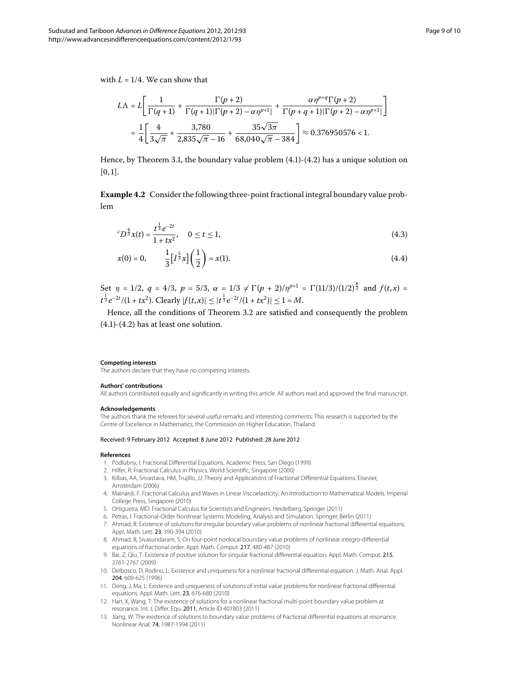with  $L = 1/4$ . We can show that

$$
L\Lambda = L \left[ \frac{1}{\Gamma(q+1)} + \frac{\Gamma(p+2)}{\Gamma(q+1)|\Gamma(p+2) - \alpha \eta^{p+1}|} + \frac{\alpha \eta^{p+q} \Gamma(p+2)}{\Gamma(p+q+1)|\Gamma(p+2) - \alpha \eta^{p+1}|} \right]
$$
  
=  $\frac{1}{4} \left[ \frac{4}{3\sqrt{\pi}} + \frac{3{,}780}{2{,}835\sqrt{\pi} - 16} + \frac{35\sqrt{3\pi}}{68{,}040\sqrt{\pi} - 384} \right] \approx 0.376950576 < 1.$ 

Hence, by Theorem 3.1, the boundary value problem  $(4.1)-(4.2)$  has a unique solution on  $[0, 1].$ 

**Example 4.2** Consider the following three-point fractional integral boundary value problem

$$
{}^{c}D^{\frac{4}{3}}x(t) = \frac{t^{\frac{1}{3}}e^{-2t}}{1 + tx^2}, \quad 0 \le t \le 1,
$$
\n(4.3)

$$
x(0) = 0, \qquad \frac{1}{3} \left[ I^{\frac{5}{3}} x \right] \left( \frac{1}{2} \right) = x(1). \tag{4.4}
$$

Set  $\eta = 1/2$ ,  $q = 4/3$ ,  $p = 5/3$ ,  $\alpha = 1/3 \neq \Gamma(p + 2)/\eta^{p+1} = \Gamma(11/3)/(1/2)^{\frac{8}{3}}$  and  $f(t, x) =$  $t^{\frac{1}{3}}e^{-2t}/(1+tx^2)$ . Clearly  $|f(t,x)| \leq |t^{\frac{1}{3}}e^{-2t}/(1+tx^2)| \leq 1 = M$ .

Hence, all the conditions of Theorem 3[.](#page-4-0)2 are satisfied and consequently the problem  $(4.1)$  $(4.1)$  $(4.1)$ - $(4.2)$  has at least one solution.

#### **Competing interests**

The authors declare that they have no competing interests.

#### <span id="page-8-0"></span>**Authors' contributions**

<span id="page-8-3"></span>All authors contributed equally and significantly in writing this article. All authors read and approved the final manuscript.

#### **Acknowledgements**

The authors thank the referees for several useful remarks and interesting comments. This research is supported by the Centre of Excellence in Mathematics, the Commission on Higher Education, Thailand.

#### <span id="page-8-2"></span><span id="page-8-1"></span>Received: 9 February 2012 Accepted: 8 June 2012 Published: 28 June 2012

#### **References**

- 1. Podlubny, I: Fractional Differential Equations. Academic Press, San Diego (1999)
- 2. Hilfer, R: Fractional Calculus in Physics. World Scientific, Singapore (2000)
- 3. Kilbas, AA, Srivastava, HM, Trujillo, JJ: Theory and Applications of Fractional Differential Equations. Elsevier, Amsterdam (2006)
- 4. Mainardi, F: Fractional Calculus and Waves in Linear Viscoelasticity: An Introduction to Mathematical Models. Imperial College Press, Singapore (2010)
- 5. Ortigueira, MD: Fractional Calculus for Scientists and Engineers. Heidelberg, Springer (2011)
- 6. Petras, I: Fractional-Order Nonlinear Systems: Modeling, Analysis and Simulation. Springer, Berlin (2011)
- 7. Ahmad, B: Existence of solutions for irregular boundary value problems of nonlinear fractional differential equations. Appl. Math. Lett. 23, 390-394 (2010)
- 8. Ahmad, B, Sivasundaram, S: On four-point nonlocal boundary value problems of nonlinear integro-differential equations of fractional order. Appl. Math. Comput. 217, 480-487 (2010)
- 9. Bai, Z, Qiu, T: Existence of positive solution for singular fractional differential equation. Appl. Math. Comput. 215, 2761-2767 (2009)
- 10. Delbosco, D, Rodino, L: Existence and uniqueness for a nonlinear fractional differential equation. J. Math. Anal. Appl. 204, 609-625 (1996)
- 11. Deng, J, Ma, L: Existence and uniqueness of solutions of initial value problems for nonlinear fractional differential equations. Appl. Math. Lett. 23, 676-680 (2010)
- 12. Han, X, Wang, T: The existence of solutions for a nonlinear fractional multi-point boundary value problem at resonance. Int. J. Differ. Equ. 2011, Article ID 401803 (2011)
- 13. Jiang, W: The existence of solutions to boundary value problems of fractional differential equations at resonance. Nonlinear Anal. 74, 1987-1994 (2011)